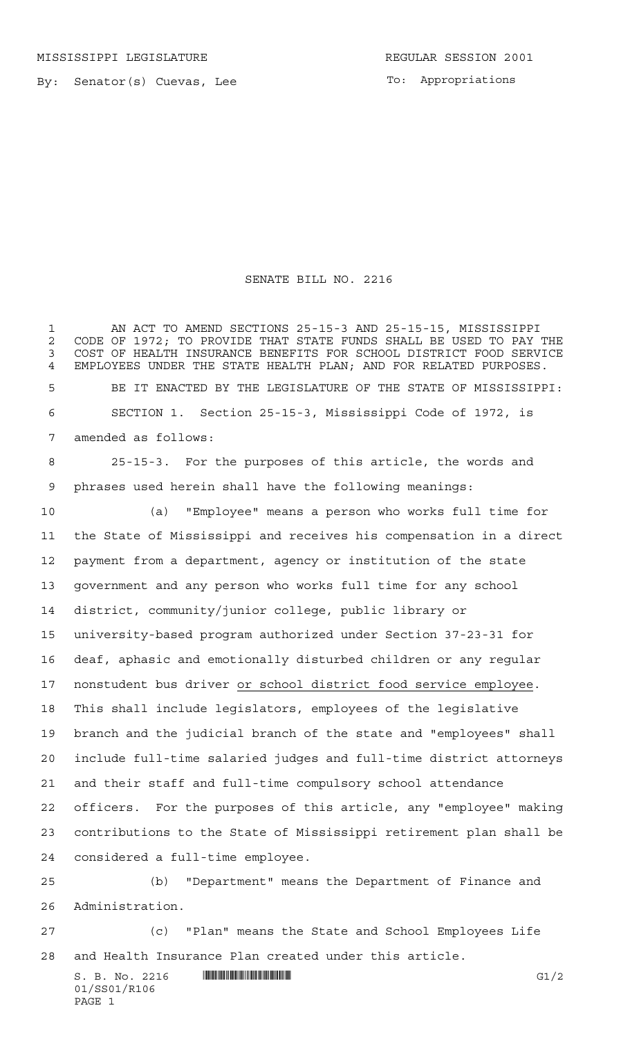MISSISSIPPI LEGISLATURE **REGULAR SESSION 2001** 

By: Senator(s) Cuevas, Lee

To: Appropriations

## SENATE BILL NO. 2216

 AN ACT TO AMEND SECTIONS 25-15-3 AND 25-15-15, MISSISSIPPI 2 CODE OF 1972; TO PROVIDE THAT STATE FUNDS SHALL BE USED TO PAY THE 3 COST OF HEALTH INSURANCE BENEFITS FOR SCHOOL DISTRICT FOOD SERVICE COST OF HEALTH INSURANCE BENEFITS FOR SCHOOL DISTRICT FOOD SERVICE EMPLOYEES UNDER THE STATE HEALTH PLAN; AND FOR RELATED PURPOSES. BE IT ENACTED BY THE LEGISLATURE OF THE STATE OF MISSISSIPPI: SECTION 1. Section 25-15-3, Mississippi Code of 1972, is amended as follows: 25-15-3. For the purposes of this article, the words and phrases used herein shall have the following meanings: (a) "Employee" means a person who works full time for the State of Mississippi and receives his compensation in a direct payment from a department, agency or institution of the state government and any person who works full time for any school district, community/junior college, public library or university-based program authorized under Section 37-23-31 for deaf, aphasic and emotionally disturbed children or any regular nonstudent bus driver or school district food service employee. This shall include legislators, employees of the legislative branch and the judicial branch of the state and "employees" shall include full-time salaried judges and full-time district attorneys and their staff and full-time compulsory school attendance officers. For the purposes of this article, any "employee" making contributions to the State of Mississippi retirement plan shall be considered a full-time employee. (b) "Department" means the Department of Finance and

Administration.

 (c) "Plan" means the State and School Employees Life and Health Insurance Plan created under this article.

 $S. B. No. 2216$   $\blacksquare$   $\blacksquare$   $\blacksquare$   $\blacksquare$   $\blacksquare$   $\blacksquare$   $\blacksquare$   $\blacksquare$ 01/SS01/R106 PAGE 1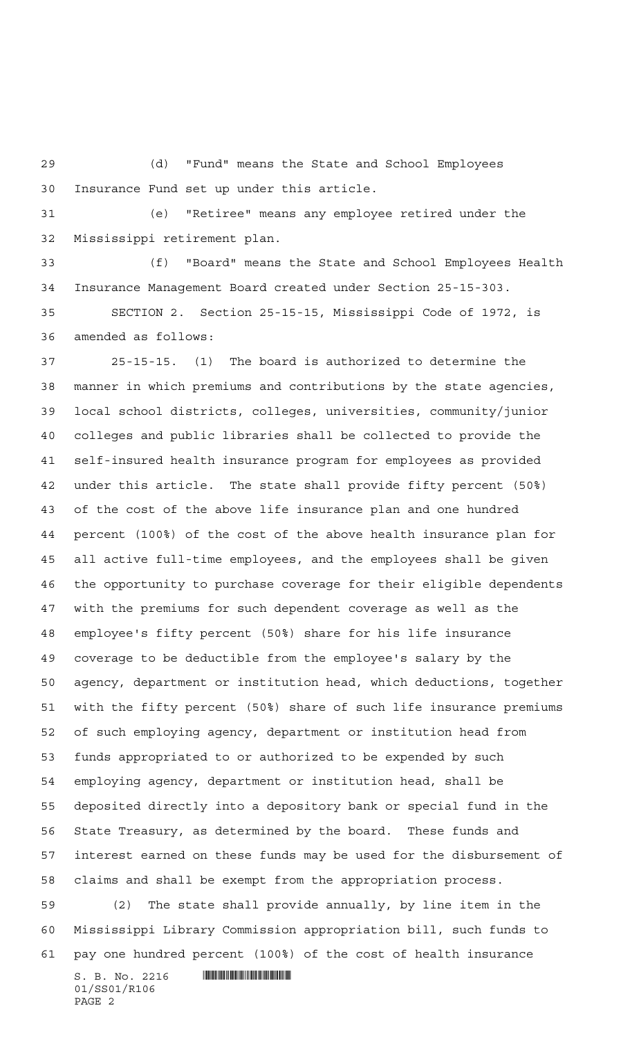(d) "Fund" means the State and School Employees Insurance Fund set up under this article.

 (e) "Retiree" means any employee retired under the Mississippi retirement plan.

 (f) "Board" means the State and School Employees Health Insurance Management Board created under Section 25-15-303.

 SECTION 2. Section 25-15-15, Mississippi Code of 1972, is amended as follows:

 25-15-15. (1) The board is authorized to determine the manner in which premiums and contributions by the state agencies, local school districts, colleges, universities, community/junior colleges and public libraries shall be collected to provide the self-insured health insurance program for employees as provided under this article. The state shall provide fifty percent (50%) of the cost of the above life insurance plan and one hundred percent (100%) of the cost of the above health insurance plan for all active full-time employees, and the employees shall be given the opportunity to purchase coverage for their eligible dependents with the premiums for such dependent coverage as well as the employee's fifty percent (50%) share for his life insurance coverage to be deductible from the employee's salary by the agency, department or institution head, which deductions, together with the fifty percent (50%) share of such life insurance premiums of such employing agency, department or institution head from funds appropriated to or authorized to be expended by such employing agency, department or institution head, shall be deposited directly into a depository bank or special fund in the State Treasury, as determined by the board. These funds and interest earned on these funds may be used for the disbursement of claims and shall be exempt from the appropriation process. (2) The state shall provide annually, by line item in the Mississippi Library Commission appropriation bill, such funds to pay one hundred percent (100%) of the cost of health insurance

 $S. B. No. 2216$  .  $\blacksquare$ 01/SS01/R106 PAGE 2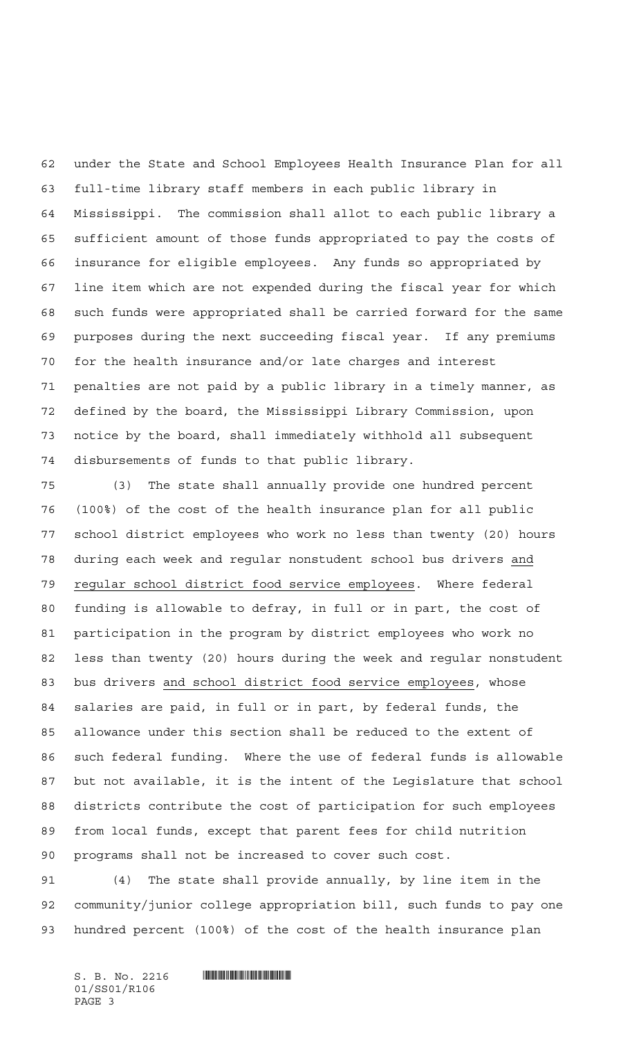under the State and School Employees Health Insurance Plan for all full-time library staff members in each public library in Mississippi. The commission shall allot to each public library a sufficient amount of those funds appropriated to pay the costs of insurance for eligible employees. Any funds so appropriated by line item which are not expended during the fiscal year for which such funds were appropriated shall be carried forward for the same purposes during the next succeeding fiscal year. If any premiums for the health insurance and/or late charges and interest penalties are not paid by a public library in a timely manner, as defined by the board, the Mississippi Library Commission, upon notice by the board, shall immediately withhold all subsequent disbursements of funds to that public library.

 (3) The state shall annually provide one hundred percent (100%) of the cost of the health insurance plan for all public school district employees who work no less than twenty (20) hours during each week and regular nonstudent school bus drivers and 79 regular school district food service employees. Where federal funding is allowable to defray, in full or in part, the cost of participation in the program by district employees who work no less than twenty (20) hours during the week and regular nonstudent bus drivers and school district food service employees, whose salaries are paid, in full or in part, by federal funds, the allowance under this section shall be reduced to the extent of such federal funding. Where the use of federal funds is allowable but not available, it is the intent of the Legislature that school districts contribute the cost of participation for such employees from local funds, except that parent fees for child nutrition programs shall not be increased to cover such cost.

 (4) The state shall provide annually, by line item in the community/junior college appropriation bill, such funds to pay one hundred percent (100%) of the cost of the health insurance plan

 $S.$  B. No. 2216  $\blacksquare$ 01/SS01/R106 PAGE 3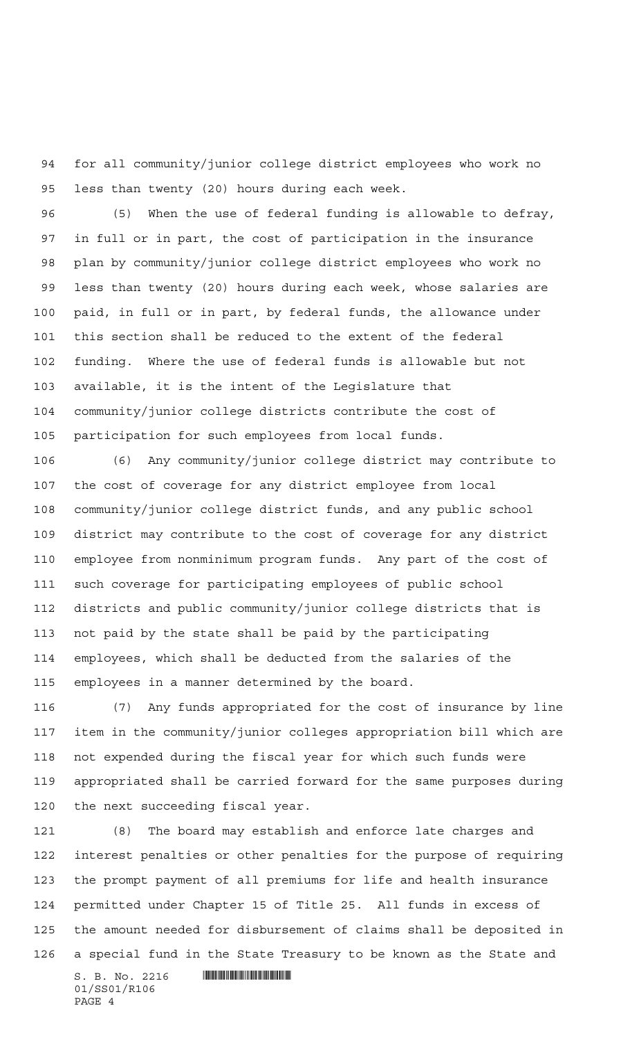for all community/junior college district employees who work no less than twenty (20) hours during each week.

 (5) When the use of federal funding is allowable to defray, in full or in part, the cost of participation in the insurance plan by community/junior college district employees who work no less than twenty (20) hours during each week, whose salaries are paid, in full or in part, by federal funds, the allowance under this section shall be reduced to the extent of the federal funding. Where the use of federal funds is allowable but not available, it is the intent of the Legislature that community/junior college districts contribute the cost of participation for such employees from local funds.

 (6) Any community/junior college district may contribute to the cost of coverage for any district employee from local community/junior college district funds, and any public school district may contribute to the cost of coverage for any district employee from nonminimum program funds. Any part of the cost of such coverage for participating employees of public school districts and public community/junior college districts that is not paid by the state shall be paid by the participating employees, which shall be deducted from the salaries of the employees in a manner determined by the board.

 (7) Any funds appropriated for the cost of insurance by line item in the community/junior colleges appropriation bill which are not expended during the fiscal year for which such funds were appropriated shall be carried forward for the same purposes during the next succeeding fiscal year.

 (8) The board may establish and enforce late charges and interest penalties or other penalties for the purpose of requiring the prompt payment of all premiums for life and health insurance permitted under Chapter 15 of Title 25. All funds in excess of the amount needed for disbursement of claims shall be deposited in a special fund in the State Treasury to be known as the State and

 $S. B. No. 2216$  .  $M$ 01/SS01/R106 PAGE 4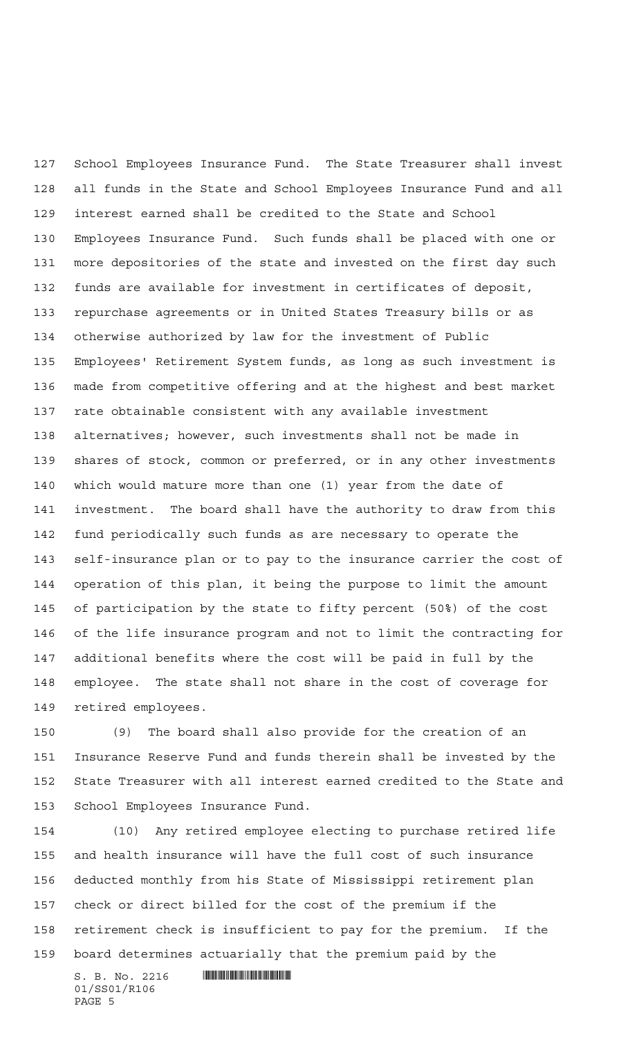School Employees Insurance Fund. The State Treasurer shall invest all funds in the State and School Employees Insurance Fund and all interest earned shall be credited to the State and School Employees Insurance Fund. Such funds shall be placed with one or more depositories of the state and invested on the first day such funds are available for investment in certificates of deposit, repurchase agreements or in United States Treasury bills or as otherwise authorized by law for the investment of Public Employees' Retirement System funds, as long as such investment is made from competitive offering and at the highest and best market rate obtainable consistent with any available investment alternatives; however, such investments shall not be made in shares of stock, common or preferred, or in any other investments which would mature more than one (1) year from the date of investment. The board shall have the authority to draw from this fund periodically such funds as are necessary to operate the self-insurance plan or to pay to the insurance carrier the cost of operation of this plan, it being the purpose to limit the amount of participation by the state to fifty percent (50%) of the cost of the life insurance program and not to limit the contracting for additional benefits where the cost will be paid in full by the employee. The state shall not share in the cost of coverage for retired employees.

 (9) The board shall also provide for the creation of an Insurance Reserve Fund and funds therein shall be invested by the State Treasurer with all interest earned credited to the State and School Employees Insurance Fund.

 (10) Any retired employee electing to purchase retired life and health insurance will have the full cost of such insurance deducted monthly from his State of Mississippi retirement plan check or direct billed for the cost of the premium if the retirement check is insufficient to pay for the premium. If the board determines actuarially that the premium paid by the

 $S. B. No. 2216$  .  $\blacksquare$ 01/SS01/R106 PAGE 5